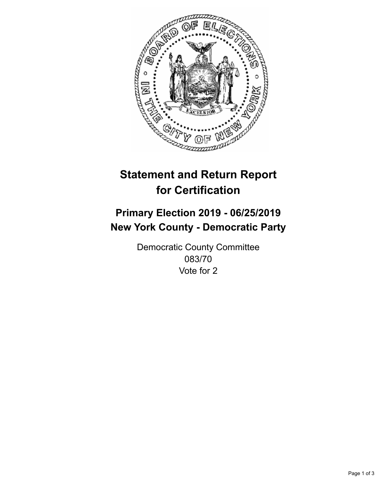

## **Statement and Return Report for Certification**

## **Primary Election 2019 - 06/25/2019 New York County - Democratic Party**

Democratic County Committee 083/70 Vote for 2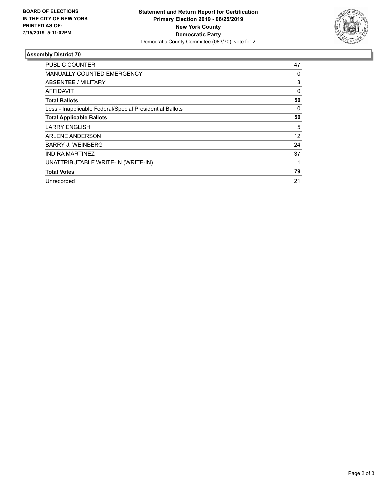

## **Assembly District 70**

| PUBLIC COUNTER                                           | 47 |
|----------------------------------------------------------|----|
| <b>MANUALLY COUNTED EMERGENCY</b>                        | 0  |
| ABSENTEE / MILITARY                                      | 3  |
| <b>AFFIDAVIT</b>                                         | 0  |
| <b>Total Ballots</b>                                     | 50 |
| Less - Inapplicable Federal/Special Presidential Ballots | 0  |
| <b>Total Applicable Ballots</b>                          | 50 |
| <b>LARRY ENGLISH</b>                                     | 5  |
| ARLENE ANDERSON                                          | 12 |
| <b>BARRY J. WEINBERG</b>                                 | 24 |
| <b>INDIRA MARTINEZ</b>                                   | 37 |
| UNATTRIBUTABLE WRITE-IN (WRITE-IN)                       |    |
| <b>Total Votes</b>                                       | 79 |
| Unrecorded                                               | 21 |